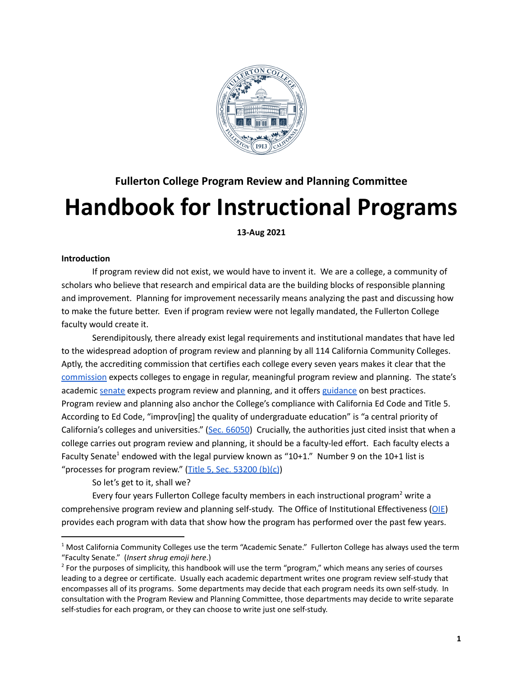

# **Fullerton College Program Review and Planning Committee Handbook for Instructional Programs**

**13-Aug 2021**

### **Introduction**

If program review did not exist, we would have to invent it. We are a college, a community of scholars who believe that research and empirical data are the building blocks of responsible planning and improvement. Planning for improvement necessarily means analyzing the past and discussing how to make the future better. Even if program review were not legally mandated, the Fullerton College faculty would create it.

Serendipitously, there already exist legal requirements and institutional mandates that have led to the widespread adoption of program review and planning by all 114 California Community Colleges. Aptly, the accrediting commission that certifies each college every seven years makes it clear that the [commission](https://accjc.org/) expects colleges to engage in regular, meaningful program review and planning. The state's academic [senate](https://www.asccc.org/) expects program review and planning, and it offers [guidance](https://www.asccc.org/papers/program-review-setting-standard) on best practices. Program review and planning also anchor the College's compliance with California Ed Code and Title 5. According to Ed Code, "improv[ing] the quality of undergraduate education" is "a central priority of California's colleges and universities." (Sec. [66050](https://leginfo.legislature.ca.gov/faces/codes_displaySection.xhtml?lawCode=EDC§ionNum=66050.)) Crucially, the authorities just cited insist that when a college carries out program review and planning, it should be a faculty-led effort. Each faculty elects a Faculty Senate<sup>1</sup> endowed with the legal purview known as "10+1." Number 9 on the 10+1 list is "processes for program review." (Title 5, Sec. [53200](https://www.asccc.org/10_1) (b)(c))

So let's get to it, shall we?

Every four years Fullerton College faculty members in each instructional program<sup>2</sup> write a comprehensive program review and planning self-study. The Office of Institutional Effectiveness ([OIE](https://ie.fullcoll.edu/)) provides each program with data that show how the program has performed over the past few years.

 $1$  Most California Community Colleges use the term "Academic Senate." Fullerton College has always used the term "Faculty Senate." (*Insert shrug emoji here*.)

 $2$  For the purposes of simplicity, this handbook will use the term "program," which means any series of courses leading to a degree or certificate. Usually each academic department writes one program review self-study that encompasses all of its programs. Some departments may decide that each program needs its own self-study. In consultation with the Program Review and Planning Committee, those departments may decide to write separate self-studies for each program, or they can choose to write just one self-study.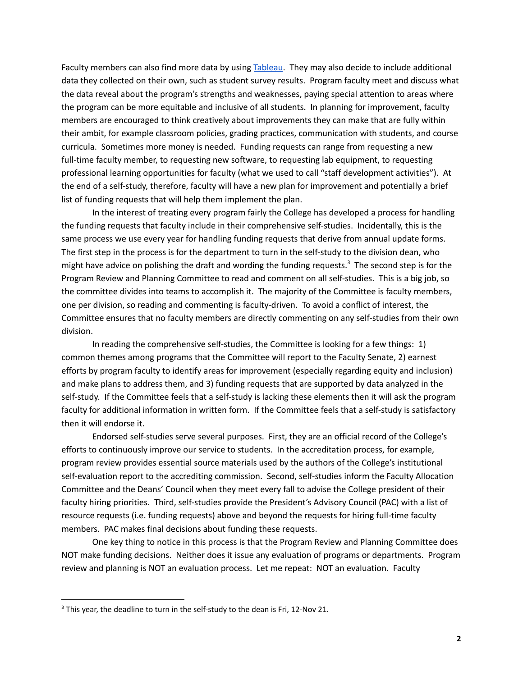Faculty members can also find more data by using [Tableau](https://ie.fullcoll.edu/). They may also decide to include additional data they collected on their own, such as student survey results. Program faculty meet and discuss what the data reveal about the program's strengths and weaknesses, paying special attention to areas where the program can be more equitable and inclusive of all students. In planning for improvement, faculty members are encouraged to think creatively about improvements they can make that are fully within their ambit, for example classroom policies, grading practices, communication with students, and course curricula. Sometimes more money is needed. Funding requests can range from requesting a new full-time faculty member, to requesting new software, to requesting lab equipment, to requesting professional learning opportunities for faculty (what we used to call "staff development activities"). At the end of a self-study, therefore, faculty will have a new plan for improvement and potentially a brief list of funding requests that will help them implement the plan.

In the interest of treating every program fairly the College has developed a process for handling the funding requests that faculty include in their comprehensive self-studies. Incidentally, this is the same process we use every year for handling funding requests that derive from annual update forms. The first step in the process is for the department to turn in the self-study to the division dean, who might have advice on polishing the draft and wording the funding requests. <sup>3</sup> The second step is for the Program Review and Planning Committee to read and comment on all self-studies. This is a big job, so the committee divides into teams to accomplish it. The majority of the Committee is faculty members, one per division, so reading and commenting is faculty-driven. To avoid a conflict of interest, the Committee ensures that no faculty members are directly commenting on any self-studies from their own division.

In reading the comprehensive self-studies, the Committee is looking for a few things: 1) common themes among programs that the Committee will report to the Faculty Senate, 2) earnest efforts by program faculty to identify areas for improvement (especially regarding equity and inclusion) and make plans to address them, and 3) funding requests that are supported by data analyzed in the self-study. If the Committee feels that a self-study is lacking these elements then it will ask the program faculty for additional information in written form. If the Committee feels that a self-study is satisfactory then it will endorse it.

Endorsed self-studies serve several purposes. First, they are an official record of the College's efforts to continuously improve our service to students. In the accreditation process, for example, program review provides essential source materials used by the authors of the College's institutional self-evaluation report to the accrediting commission. Second, self-studies inform the Faculty Allocation Committee and the Deans' Council when they meet every fall to advise the College president of their faculty hiring priorities. Third, self-studies provide the President's Advisory Council (PAC) with a list of resource requests (i.e. funding requests) above and beyond the requests for hiring full-time faculty members. PAC makes final decisions about funding these requests.

One key thing to notice in this process is that the Program Review and Planning Committee does NOT make funding decisions. Neither does it issue any evaluation of programs or departments. Program review and planning is NOT an evaluation process. Let me repeat: NOT an evaluation. Faculty

 $3$  This year, the deadline to turn in the self-study to the dean is Fri, 12-Nov 21.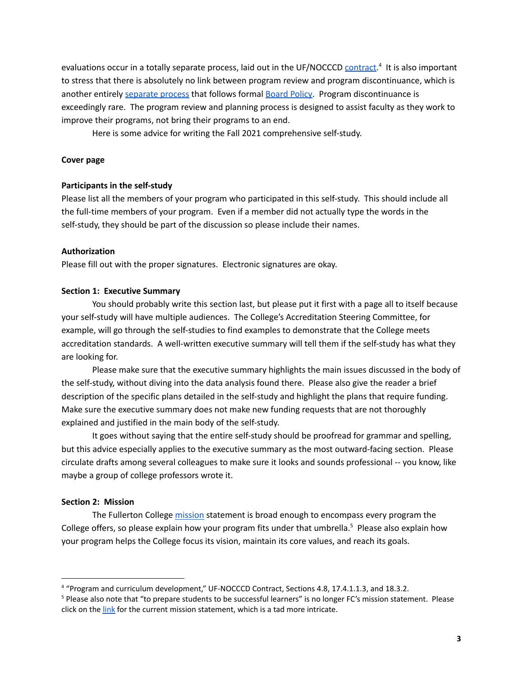evaluations occur in a totally separate process, laid out in the UF/NOCCCD [contract.](https://www.nocccd.edu/union-contracts)<sup>4</sup> It is also important to stress that there is absolutely no link between program review and program discontinuance, which is another entirely [separate](https://nocccd.edu/files/4021apfinalreviseddcc-2017-09-25_50810.pdf) process that follows formal **[Board](https://nocccd.edu/files/4021bpprogramdiscbot02-14-12_3_30655.pdf) Policy**. Program discontinuance is exceedingly rare. The program review and planning process is designed to assist faculty as they work to improve their programs, not bring their programs to an end.

Here is some advice for writing the Fall 2021 comprehensive self-study.

### **Cover page**

### **Participants in the self-study**

Please list all the members of your program who participated in this self-study. This should include all the full-time members of your program. Even if a member did not actually type the words in the self-study, they should be part of the discussion so please include their names.

### **Authorization**

Please fill out with the proper signatures. Electronic signatures are okay.

### **Section 1: Executive Summary**

You should probably write this section last, but please put it first with a page all to itself because your self-study will have multiple audiences. The College's Accreditation Steering Committee, for example, will go through the self-studies to find examples to demonstrate that the College meets accreditation standards. A well-written executive summary will tell them if the self-study has what they are looking for.

Please make sure that the executive summary highlights the main issues discussed in the body of the self-study, without diving into the data analysis found there. Please also give the reader a brief description of the specific plans detailed in the self-study and highlight the plans that require funding. Make sure the executive summary does not make new funding requests that are not thoroughly explained and justified in the main body of the self-study.

It goes without saying that the entire self-study should be proofread for grammar and spelling, but this advice especially applies to the executive summary as the most outward-facing section. Please circulate drafts among several colleagues to make sure it looks and sounds professional -- you know, like maybe a group of college professors wrote it.

#### **Section 2: Mission**

The Fullerton College [mission](https://www.fullcoll.edu/president/#mission) statement is broad enough to encompass every program the College offers, so please explain how your program fits under that umbrella.<sup>5</sup> Please also explain how your program helps the College focus its vision, maintain its core values, and reach its goals.

<sup>4</sup> "Program and curriculum development," UF-NOCCCD Contract, Sections 4.8, 17.4.1.1.3, and 18.3.2.

<sup>&</sup>lt;sup>5</sup> Please also note that "to prepare students to be successful learners" is no longer FC's mission statement. Please click on the [link](https://www.fullcoll.edu/president/#mission) for the current mission statement, which is a tad more intricate.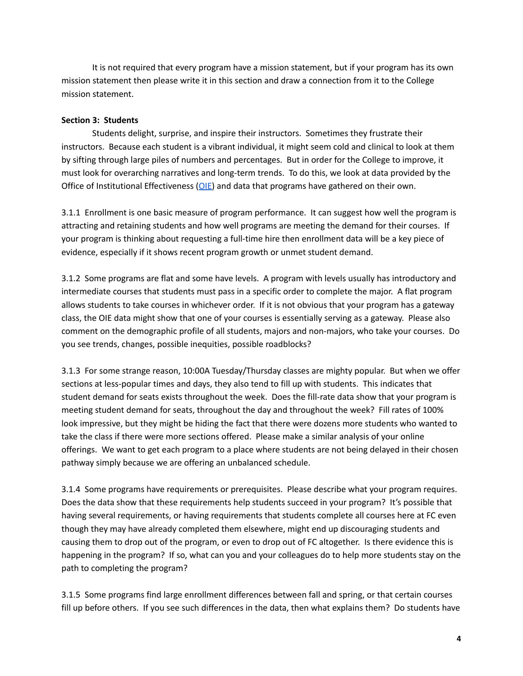It is not required that every program have a mission statement, but if your program has its own mission statement then please write it in this section and draw a connection from it to the College mission statement.

### **Section 3: Students**

Students delight, surprise, and inspire their instructors. Sometimes they frustrate their instructors. Because each student is a vibrant individual, it might seem cold and clinical to look at them by sifting through large piles of numbers and percentages. But in order for the College to improve, it must look for overarching narratives and long-term trends. To do this, we look at data provided by the Office of Institutional Effectiveness ([OIE](https://ie.fullcoll.edu/)) and data that programs have gathered on their own.

3.1.1 Enrollment is one basic measure of program performance. It can suggest how well the program is attracting and retaining students and how well programs are meeting the demand for their courses. If your program is thinking about requesting a full-time hire then enrollment data will be a key piece of evidence, especially if it shows recent program growth or unmet student demand.

3.1.2 Some programs are flat and some have levels. A program with levels usually has introductory and intermediate courses that students must pass in a specific order to complete the major. A flat program allows students to take courses in whichever order. If it is not obvious that your program has a gateway class, the OIE data might show that one of your courses is essentially serving as a gateway. Please also comment on the demographic profile of all students, majors and non-majors, who take your courses. Do you see trends, changes, possible inequities, possible roadblocks?

3.1.3 For some strange reason, 10:00A Tuesday/Thursday classes are mighty popular. But when we offer sections at less-popular times and days, they also tend to fill up with students. This indicates that student demand for seats exists throughout the week. Does the fill-rate data show that your program is meeting student demand for seats, throughout the day and throughout the week? Fill rates of 100% look impressive, but they might be hiding the fact that there were dozens more students who wanted to take the class if there were more sections offered. Please make a similar analysis of your online offerings. We want to get each program to a place where students are not being delayed in their chosen pathway simply because we are offering an unbalanced schedule.

3.1.4 Some programs have requirements or prerequisites. Please describe what your program requires. Does the data show that these requirements help students succeed in your program? It's possible that having several requirements, or having requirements that students complete all courses here at FC even though they may have already completed them elsewhere, might end up discouraging students and causing them to drop out of the program, or even to drop out of FC altogether. Is there evidence this is happening in the program? If so, what can you and your colleagues do to help more students stay on the path to completing the program?

3.1.5 Some programs find large enrollment differences between fall and spring, or that certain courses fill up before others. If you see such differences in the data, then what explains them? Do students have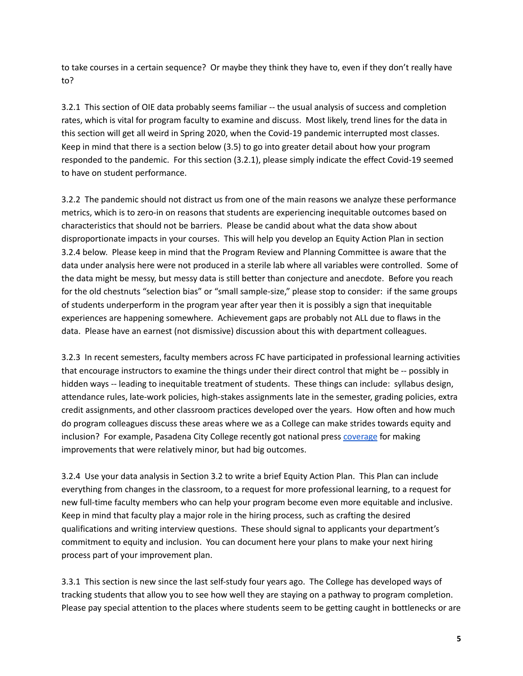to take courses in a certain sequence? Or maybe they think they have to, even if they don't really have to?

3.2.1 This section of OIE data probably seems familiar -- the usual analysis of success and completion rates, which is vital for program faculty to examine and discuss. Most likely, trend lines for the data in this section will get all weird in Spring 2020, when the Covid-19 pandemic interrupted most classes. Keep in mind that there is a section below (3.5) to go into greater detail about how your program responded to the pandemic. For this section (3.2.1), please simply indicate the effect Covid-19 seemed to have on student performance.

3.2.2 The pandemic should not distract us from one of the main reasons we analyze these performance metrics, which is to zero-in on reasons that students are experiencing inequitable outcomes based on characteristics that should not be barriers. Please be candid about what the data show about disproportionate impacts in your courses. This will help you develop an Equity Action Plan in section 3.2.4 below. Please keep in mind that the Program Review and Planning Committee is aware that the data under analysis here were not produced in a sterile lab where all variables were controlled. Some of the data might be messy, but messy data is still better than conjecture and anecdote. Before you reach for the old chestnuts "selection bias" or "small sample-size," please stop to consider: if the same groups of students underperform in the program year after year then it is possibly a sign that inequitable experiences are happening somewhere. Achievement gaps are probably not ALL due to flaws in the data. Please have an earnest (not dismissive) discussion about this with department colleagues.

3.2.3 In recent semesters, faculty members across FC have participated in professional learning activities that encourage instructors to examine the things under their direct control that might be -- possibly in hidden ways -- leading to inequitable treatment of students. These things can include: syllabus design, attendance rules, late-work policies, high-stakes assignments late in the semester, grading policies, extra credit assignments, and other classroom practices developed over the years. How often and how much do program colleagues discuss these areas where we as a College can make strides towards equity and inclusion? For example, Pasadena City College recently got national press [coverage](https://www.politico.com/agenda/story/2019/09/25/higher-educations-racial-inequities-000978/) for making improvements that were relatively minor, but had big outcomes.

3.2.4 Use your data analysis in Section 3.2 to write a brief Equity Action Plan. This Plan can include everything from changes in the classroom, to a request for more professional learning, to a request for new full-time faculty members who can help your program become even more equitable and inclusive. Keep in mind that faculty play a major role in the hiring process, such as crafting the desired qualifications and writing interview questions. These should signal to applicants your department's commitment to equity and inclusion. You can document here your plans to make your next hiring process part of your improvement plan.

3.3.1 This section is new since the last self-study four years ago. The College has developed ways of tracking students that allow you to see how well they are staying on a pathway to program completion. Please pay special attention to the places where students seem to be getting caught in bottlenecks or are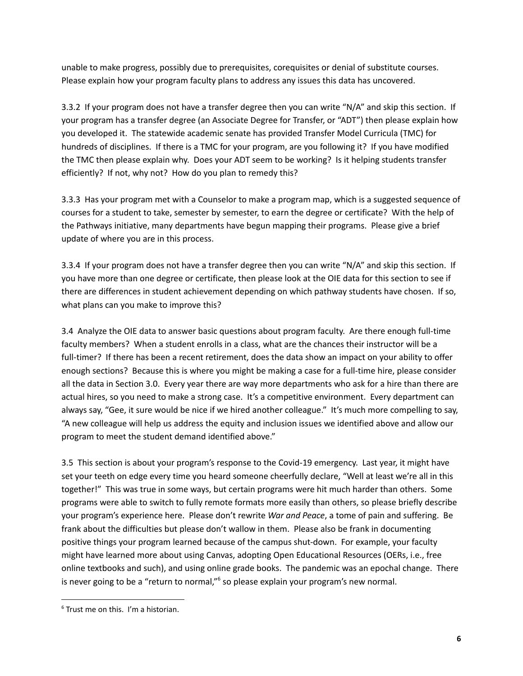unable to make progress, possibly due to prerequisites, corequisites or denial of substitute courses. Please explain how your program faculty plans to address any issues this data has uncovered.

3.3.2 If your program does not have a transfer degree then you can write "N/A" and skip this section. If your program has a transfer degree (an Associate Degree for Transfer, or "ADT") then please explain how you developed it. The statewide academic senate has provided Transfer Model Curricula (TMC) for hundreds of disciplines. If there is a TMC for your program, are you following it? If you have modified the TMC then please explain why. Does your ADT seem to be working? Is it helping students transfer efficiently? If not, why not? How do you plan to remedy this?

3.3.3 Has your program met with a Counselor to make a program map, which is a suggested sequence of courses for a student to take, semester by semester, to earn the degree or certificate? With the help of the Pathways initiative, many departments have begun mapping their programs. Please give a brief update of where you are in this process.

3.3.4 If your program does not have a transfer degree then you can write "N/A" and skip this section. If you have more than one degree or certificate, then please look at the OIE data for this section to see if there are differences in student achievement depending on which pathway students have chosen. If so, what plans can you make to improve this?

3.4 Analyze the OIE data to answer basic questions about program faculty. Are there enough full-time faculty members? When a student enrolls in a class, what are the chances their instructor will be a full-timer? If there has been a recent retirement, does the data show an impact on your ability to offer enough sections? Because this is where you might be making a case for a full-time hire, please consider all the data in Section 3.0. Every year there are way more departments who ask for a hire than there are actual hires, so you need to make a strong case. It's a competitive environment. Every department can always say, "Gee, it sure would be nice if we hired another colleague." It's much more compelling to say, "A new colleague will help us address the equity and inclusion issues we identified above and allow our program to meet the student demand identified above."

3.5 This section is about your program's response to the Covid-19 emergency. Last year, it might have set your teeth on edge every time you heard someone cheerfully declare, "Well at least we're all in this together!" This was true in some ways, but certain programs were hit much harder than others. Some programs were able to switch to fully remote formats more easily than others, so please briefly describe your program's experience here. Please don't rewrite *War and Peace*, a tome of pain and suffering. Be frank about the difficulties but please don't wallow in them. Please also be frank in documenting positive things your program learned because of the campus shut-down. For example, your faculty might have learned more about using Canvas, adopting Open Educational Resources (OERs, i.e., free online textbooks and such), and using online grade books. The pandemic was an epochal change. There is never going to be a "return to normal,"<sup>6</sup> so please explain your program's new normal.

 $6$  Trust me on this. I'm a historian.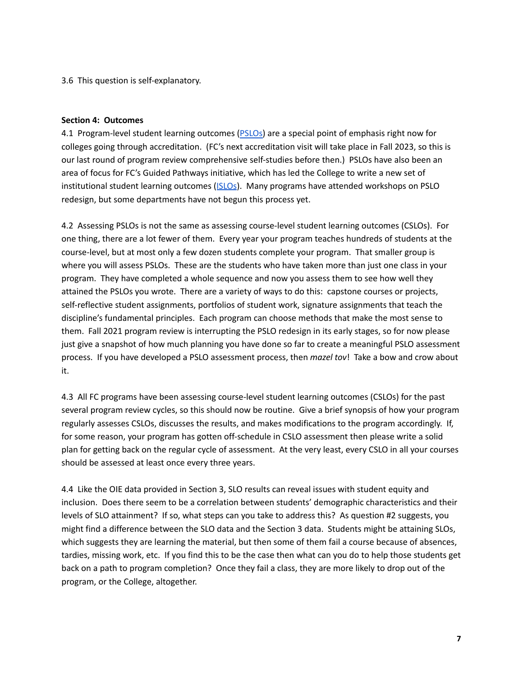3.6 This question is self-explanatory.

#### **Section 4: Outcomes**

4.1 Program-level student learning outcomes ([PSLOs\)](https://programreview.fullcoll.edu/wp-content/uploads/sites/53/2021/06/PSLO-Redesign-Principles.pdf) are a special point of emphasis right now for colleges going through accreditation. (FC's next accreditation visit will take place in Fall 2023, so this is our last round of program review comprehensive self-studies before then.) PSLOs have also been an area of focus for FC's Guided Pathways initiative, which has led the College to write a new set of institutional student learning outcomes (ISLO<sub>S</sub>). Many programs have attended workshops on PSLO redesign, but some departments have not begun this process yet.

4.2 Assessing PSLOs is not the same as assessing course-level student learning outcomes (CSLOs). For one thing, there are a lot fewer of them. Every year your program teaches hundreds of students at the course-level, but at most only a few dozen students complete your program. That smaller group is where you will assess PSLOs. These are the students who have taken more than just one class in your program. They have completed a whole sequence and now you assess them to see how well they attained the PSLOs you wrote. There are a variety of ways to do this: capstone courses or projects, self-reflective student assignments, portfolios of student work, signature assignments that teach the discipline's fundamental principles. Each program can choose methods that make the most sense to them. Fall 2021 program review is interrupting the PSLO redesign in its early stages, so for now please just give a snapshot of how much planning you have done so far to create a meaningful PSLO assessment process. If you have developed a PSLO assessment process, then *mazel tov*! Take a bow and crow about it.

4.3 All FC programs have been assessing course-level student learning outcomes (CSLOs) for the past several program review cycles, so this should now be routine. Give a brief synopsis of how your program regularly assesses CSLOs, discusses the results, and makes modifications to the program accordingly. If, for some reason, your program has gotten off-schedule in CSLO assessment then please write a solid plan for getting back on the regular cycle of assessment. At the very least, every CSLO in all your courses should be assessed at least once every three years.

4.4 Like the OIE data provided in Section 3, SLO results can reveal issues with student equity and inclusion. Does there seem to be a correlation between students' demographic characteristics and their levels of SLO attainment? If so, what steps can you take to address this? As question #2 suggests, you might find a difference between the SLO data and the Section 3 data. Students might be attaining SLOs, which suggests they are learning the material, but then some of them fail a course because of absences, tardies, missing work, etc. If you find this to be the case then what can you do to help those students get back on a path to program completion? Once they fail a class, they are more likely to drop out of the program, or the College, altogether.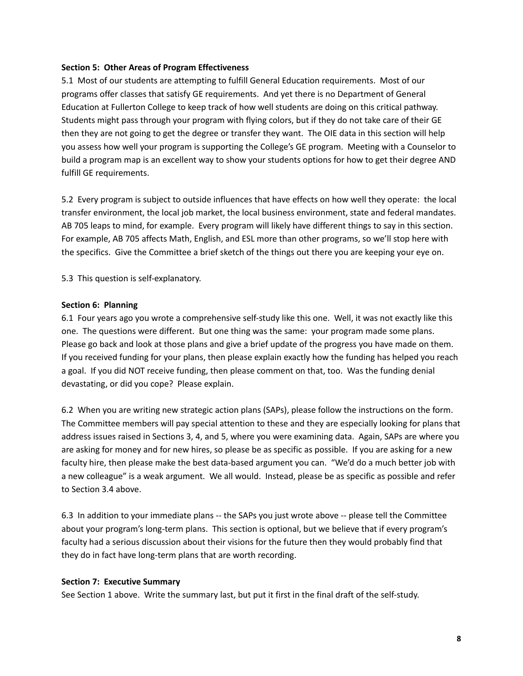## **Section 5: Other Areas of Program Effectiveness**

5.1 Most of our students are attempting to fulfill General Education requirements. Most of our programs offer classes that satisfy GE requirements. And yet there is no Department of General Education at Fullerton College to keep track of how well students are doing on this critical pathway. Students might pass through your program with flying colors, but if they do not take care of their GE then they are not going to get the degree or transfer they want. The OIE data in this section will help you assess how well your program is supporting the College's GE program. Meeting with a Counselor to build a program map is an excellent way to show your students options for how to get their degree AND fulfill GE requirements.

5.2 Every program is subject to outside influences that have effects on how well they operate: the local transfer environment, the local job market, the local business environment, state and federal mandates. AB 705 leaps to mind, for example. Every program will likely have different things to say in this section. For example, AB 705 affects Math, English, and ESL more than other programs, so we'll stop here with the specifics. Give the Committee a brief sketch of the things out there you are keeping your eye on.

5.3 This question is self-explanatory.

### **Section 6: Planning**

6.1 Four years ago you wrote a comprehensive self-study like this one. Well, it was not exactly like this one. The questions were different. But one thing was the same: your program made some plans. Please go back and look at those plans and give a brief update of the progress you have made on them. If you received funding for your plans, then please explain exactly how the funding has helped you reach a goal. If you did NOT receive funding, then please comment on that, too. Was the funding denial devastating, or did you cope? Please explain.

6.2 When you are writing new strategic action plans (SAPs), please follow the instructions on the form. The Committee members will pay special attention to these and they are especially looking for plans that address issues raised in Sections 3, 4, and 5, where you were examining data. Again, SAPs are where you are asking for money and for new hires, so please be as specific as possible. If you are asking for a new faculty hire, then please make the best data-based argument you can. "We'd do a much better job with a new colleague" is a weak argument. We all would. Instead, please be as specific as possible and refer to Section 3.4 above.

6.3 In addition to your immediate plans -- the SAPs you just wrote above -- please tell the Committee about your program's long-term plans. This section is optional, but we believe that if every program's faculty had a serious discussion about their visions for the future then they would probably find that they do in fact have long-term plans that are worth recording.

#### **Section 7: Executive Summary**

See Section 1 above. Write the summary last, but put it first in the final draft of the self-study.